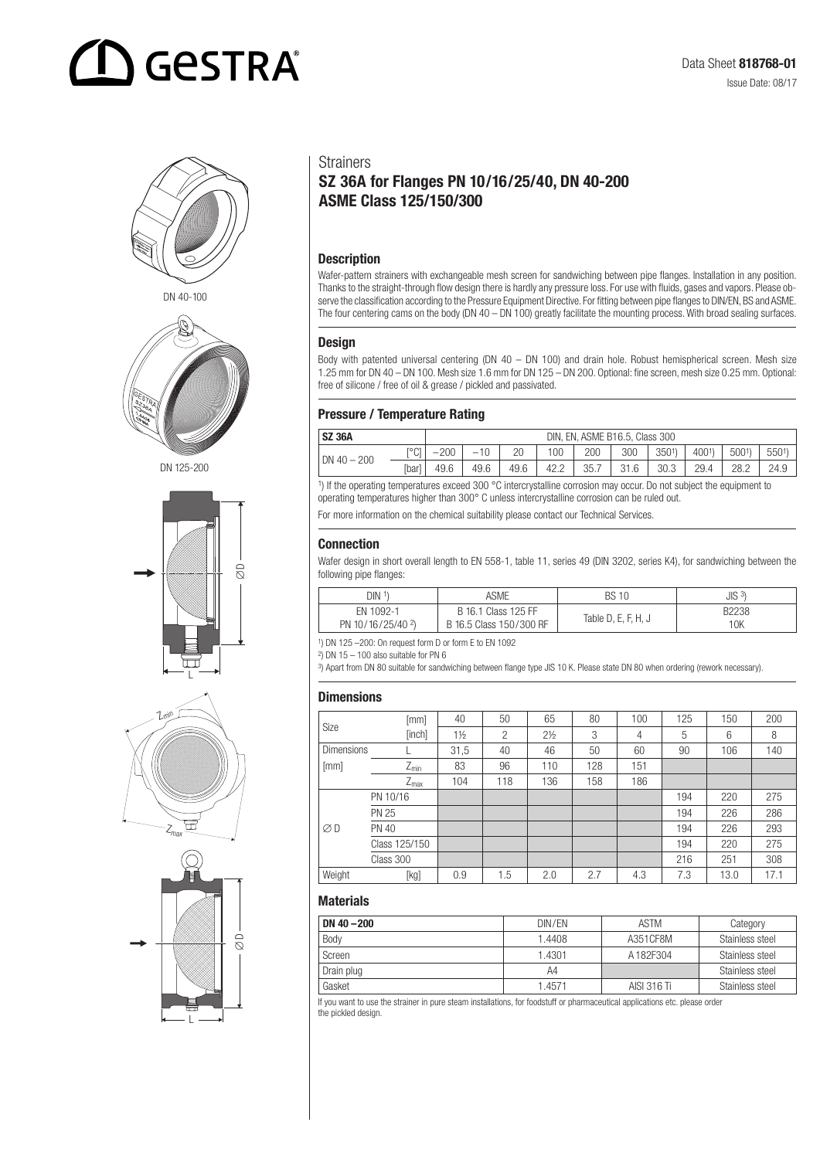# **GESTRA**





DN 125-200







#### **Strainers**

### SZ 36A for Flanges PN 10/16/25/40, DN 40-200 ASME Class 125/150/300

#### **Description**

Wafer-pattern strainers with exchangeable mesh screen for sandwiching between pipe flanges. Installation in any position. Thanks to the straight-through flow design there is hardly any pressure loss. For use with fluids, gases and vapors. Please observe the classification according to the Pressure Equipment Directive. For fitting between pipe flanges to DIN/EN, BS and ASME. The four centering cams on the body (DN 40 – DN 100) greatly facilitate the mounting process. With broad sealing surfaces.

#### Design

Body with patented universal centering (DN 40 – DN 100) and drain hole. Robust hemispherical screen. Mesh size 1.25 mm for DN 40 – DN 100. Mesh size 1.6 mm for DN 125 – DN 200. Optional: fine screen, mesh size 0.25 mm. Optional: free of silicone / free of oil & grease / pickled and passivated.

#### Pressure / Temperature Rating

| <b>SZ 36A</b>   |       | DIN, EN, ASME B16.5, Class 300 |                          |      |      |     |      |      |      |      |      |
|-----------------|-------|--------------------------------|--------------------------|------|------|-----|------|------|------|------|------|
| DN $40-$<br>200 | r°C1  | 200<br>_                       | $\overline{\phantom{a}}$ | 20   | 100  | 200 | 300  | 3501 | 4001 | 5001 | 5501 |
|                 | [bar] | 49.6                           | 49.6                     | 49.6 | 42.2 | 35. | 21 R | 30.3 | 29.4 | 28.2 | 24.9 |

1) If the operating temperatures exceed 300 °C intercrystalline corrosion may occur. Do not subject the equipment to operating temperatures higher than 300° C unless intercrystalline corrosion can be ruled out.

For more information on the chemical suitability please contact our Technical Services.

#### Connection

Wafer design in short overall length to EN 558-1, table 11, series 49 (DIN 3202, series K4), for sandwiching between the following pipe flanges:

| DIN <sup>1</sup>              | ASME                    | <b>BS10</b>         | JIS <sup>3</sup> |
|-------------------------------|-------------------------|---------------------|------------------|
| EN 1092-1                     | B 16.1 Class 125 FF     | Table D, E, F, H, J | B2238            |
| PN 10/16/25/40 <sup>2</sup> ) | B 16.5 Class 150/300 RF |                     | 10K              |

1) DN 125 –200: On request form D or form E to EN 1092

 $\frac{2}{3}$  DN 15 – 100 also suitable for PN 6

3) Apart from DN 80 suitable for sandwiching between flange type JIS 10 K. Please state DN 80 when ordering (rework necessary).

#### **Dimensions**

| Size              | [mm]             | 40             | 50  | 65             | 80  | 100 | 125 | 150  | 200  |
|-------------------|------------------|----------------|-----|----------------|-----|-----|-----|------|------|
|                   | [inch]           | $1\frac{1}{2}$ | 2   | $2\frac{1}{2}$ | 3   | 4   | 5   | 6    | 8    |
| <b>Dimensions</b> |                  | 31,5           | 40  | 46             | 50  | 60  | 90  | 106  | 140  |
| [mm]              | $Z_{min}$        | 83             | 96  | 110            | 128 | 151 |     |      |      |
|                   | $Z_{\text{max}}$ | 104            | 118 | 136            | 158 | 186 |     |      |      |
|                   | PN 10/16         |                |     |                |     |     | 194 | 220  | 275  |
|                   | <b>PN 25</b>     |                |     |                |     |     | 194 | 226  | 286  |
| $\varnothing$ D   | <b>PN 40</b>     |                |     |                |     |     | 194 | 226  | 293  |
|                   | Class 125/150    |                |     |                |     |     | 194 | 220  | 275  |
|                   | Class 300        |                |     |                |     |     | 216 | 251  | 308  |
| Weight            | [kg]             | 0.9            | 1.5 | 2.0            | 2.7 | 4.3 | 7.3 | 13.0 | 17.1 |

#### **Materials**

| DN $40 - 200$ | DIN/EN | <b>ASTM</b> | Category        |  |  |
|---------------|--------|-------------|-----------------|--|--|
| Body          | 1.4408 | A351 CF8M   | Stainless steel |  |  |
| Screen        | 1.4301 | A182F304    | Stainless steel |  |  |
| Drain plug    | A4     |             | Stainless steel |  |  |
| Gasket        | 1.4571 | AISI 316 Ti | Stainless steel |  |  |

If you want to use the strainer in pure steam installations, for foodstuff or pharmaceutical applications etc. please order the pickled design.